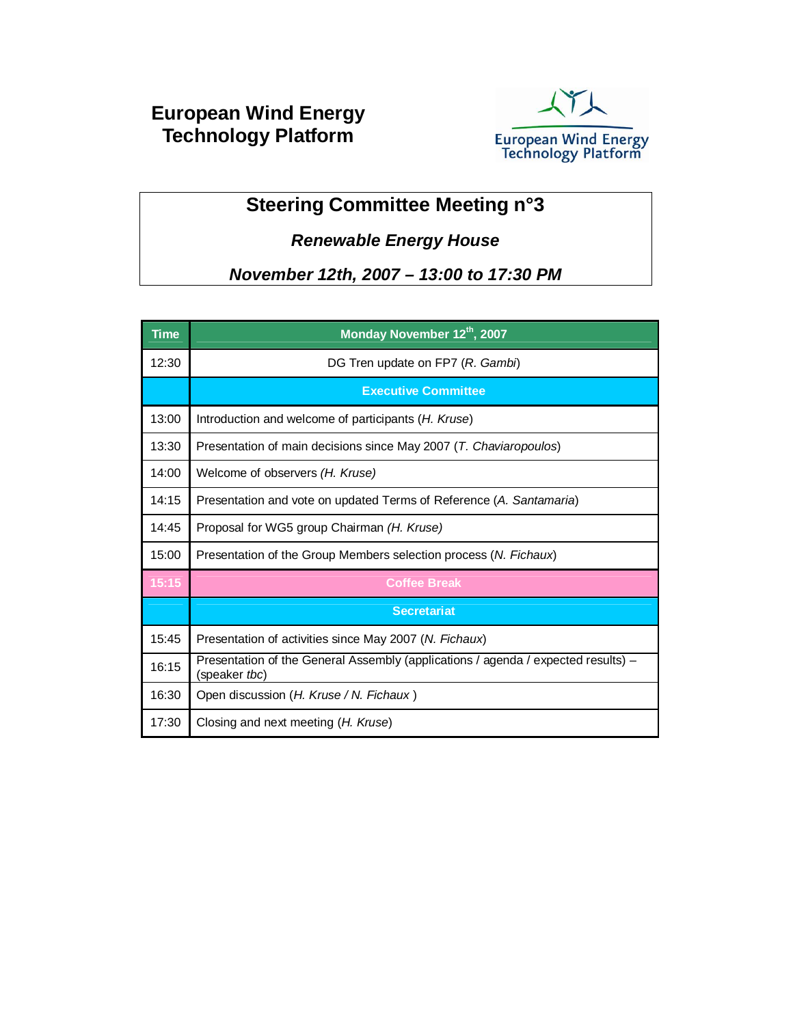# **European Wind Energy Technology Platform**



# **Steering Committee Meeting n°3**

### *Renewable Energy House*

*November 12th, 2007 – 13:00 to 17:30 PM*

| <b>Time</b> | Monday November 12th, 2007                                                                         |
|-------------|----------------------------------------------------------------------------------------------------|
| 12:30       | DG Tren update on FP7 (R. Gambi)                                                                   |
|             | <b>Executive Committee</b>                                                                         |
| 13:00       | Introduction and welcome of participants (H. Kruse)                                                |
| 13:30       | Presentation of main decisions since May 2007 (T. Chaviaropoulos)                                  |
| 14:00       | Welcome of observers (H. Kruse)                                                                    |
| 14:15       | Presentation and vote on updated Terms of Reference (A. Santamaria)                                |
| 14:45       | Proposal for WG5 group Chairman (H. Kruse)                                                         |
| 15:00       | Presentation of the Group Members selection process (N. Fichaux)                                   |
| 15:15       | <b>Coffee Break</b>                                                                                |
|             | <b>Secretariat</b>                                                                                 |
| 15:45       | Presentation of activities since May 2007 (N. Fichaux)                                             |
| 16:15       | Presentation of the General Assembly (applications / agenda / expected results) -<br>(speaker tbc) |
| 16:30       | Open discussion (H. Kruse / N. Fichaux)                                                            |
| 17:30       | Closing and next meeting ( <i>H. Kruse</i> )                                                       |